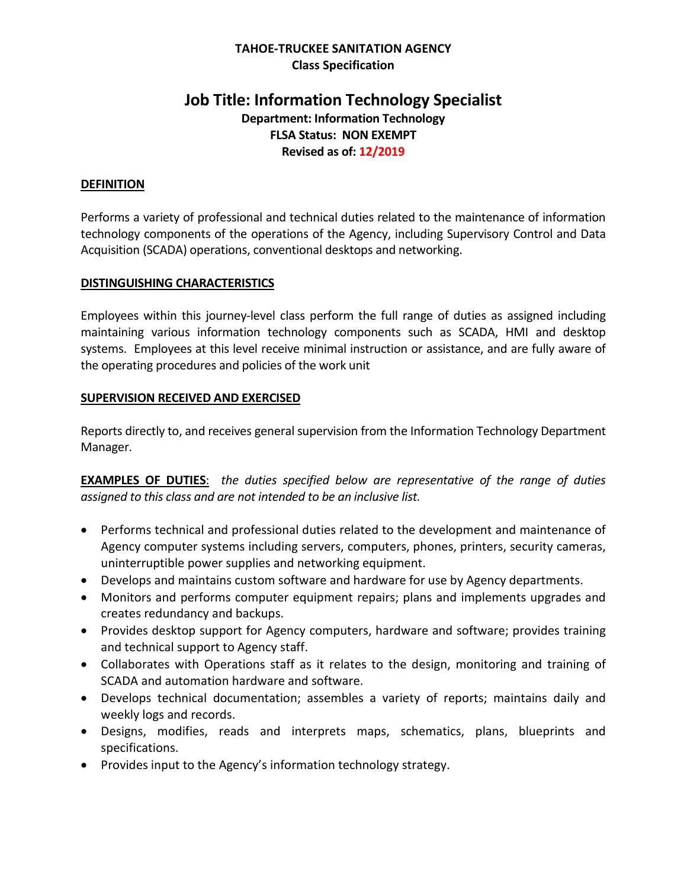#### **TAHOE-TRUCKEE SANITATION AGENCY Class Specification**

# **Job Title: Information Technology Specialist**

**Department: Information Technology FLSA Status: NON EXEMPT Revised as of: 12/2019**

#### **DEFINITION**

Performs a variety of professional and technical duties related to the maintenance of information technology components of the operations of the Agency, including Supervisory Control and Data Acquisition (SCADA) operations, conventional desktops and networking.

#### **DISTINGUISHING CHARACTERISTICS**

Employees within this journey-level class perform the full range of duties as assigned including maintaining various information technology components such as SCADA, HMI and desktop systems. Employees at this level receive minimal instruction or assistance, and are fully aware of the operating procedures and policies of the work unit

#### **SUPERVISION RECEIVED AND EXERCISED**

Reports directly to, and receives general supervision from the Information Technology Department Manager.

**EXAMPLES OF DUTIES**: *the duties specified below are representative of the range of duties assigned to this class and are not intended to be an inclusive list.* 

- Performs technical and professional duties related to the development and maintenance of Agency computer systems including servers, computers, phones, printers, security cameras, uninterruptible power supplies and networking equipment.
- Develops and maintains custom software and hardware for use by Agency departments.
- Monitors and performs computer equipment repairs; plans and implements upgrades and creates redundancy and backups.
- Provides desktop support for Agency computers, hardware and software; provides training and technical support to Agency staff.
- Collaborates with Operations staff as it relates to the design, monitoring and training of SCADA and automation hardware and software.
- Develops technical documentation; assembles a variety of reports; maintains daily and weekly logs and records.
- Designs, modifies, reads and interprets maps, schematics, plans, blueprints and specifications.
- Provides input to the Agency's information technology strategy.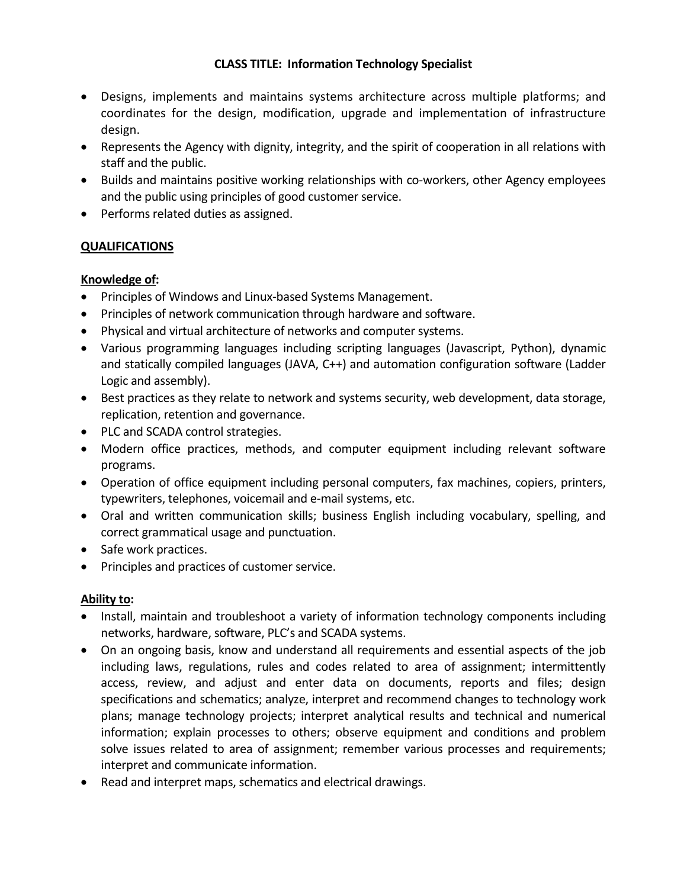## **CLASS TITLE: Information Technology Specialist**

- Designs, implements and maintains systems architecture across multiple platforms; and coordinates for the design, modification, upgrade and implementation of infrastructure design.
- Represents the Agency with dignity, integrity, and the spirit of cooperation in all relations with staff and the public.
- Builds and maintains positive working relationships with co-workers, other Agency employees and the public using principles of good customer service.
- Performs related duties as assigned.

## **QUALIFICATIONS**

## **Knowledge of:**

- Principles of Windows and Linux-based Systems Management.
- Principles of network communication through hardware and software.
- Physical and virtual architecture of networks and computer systems.
- Various programming languages including scripting languages (Javascript, Python), dynamic and statically compiled languages (JAVA, C++) and automation configuration software (Ladder Logic and assembly).
- Best practices as they relate to network and systems security, web development, data storage, replication, retention and governance.
- PLC and SCADA control strategies.
- Modern office practices, methods, and computer equipment including relevant software programs.
- Operation of office equipment including personal computers, fax machines, copiers, printers, typewriters, telephones, voicemail and e-mail systems, etc.
- Oral and written communication skills; business English including vocabulary, spelling, and correct grammatical usage and punctuation.
- Safe work practices.
- Principles and practices of customer service.

## **Ability to:**

- Install, maintain and troubleshoot a variety of information technology components including networks, hardware, software, PLC's and SCADA systems.
- On an ongoing basis, know and understand all requirements and essential aspects of the job including laws, regulations, rules and codes related to area of assignment; intermittently access, review, and adjust and enter data on documents, reports and files; design specifications and schematics; analyze, interpret and recommend changes to technology work plans; manage technology projects; interpret analytical results and technical and numerical information; explain processes to others; observe equipment and conditions and problem solve issues related to area of assignment; remember various processes and requirements; interpret and communicate information.
- Read and interpret maps, schematics and electrical drawings.